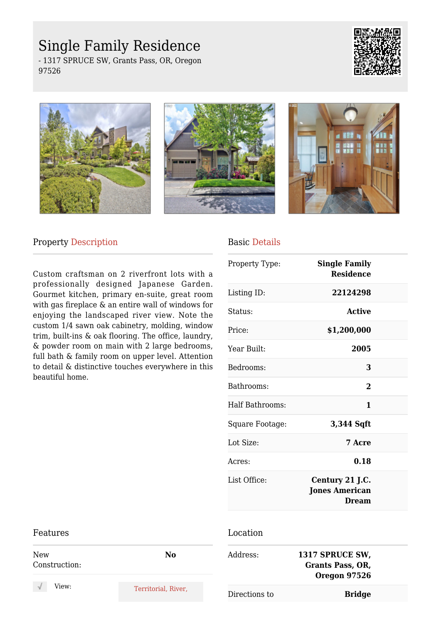# Single Family Residence

- 1317 SPRUCE SW, Grants Pass, OR, Oregon 97526









### Property Description

Features

Custom craftsman on 2 riverfront lots with a professionally designed Japanese Garden. Gourmet kitchen, primary en-suite, great room with gas fireplace & an entire wall of windows for enjoying the landscaped river view. Note the custom 1/4 sawn oak cabinetry, molding, window trim, built-ins & oak flooring. The office, laundry, & powder room on main with 2 large bedrooms, full bath & family room on upper level. Attention to detail & distinctive touches everywhere in this beautiful home.

## Basic Details

| Property Type:         | <b>Single Family</b><br><b>Residence</b>                 |  |
|------------------------|----------------------------------------------------------|--|
| Listing ID:            | 22124298                                                 |  |
| Status:                | Active                                                   |  |
| Price:                 | \$1,200,000                                              |  |
| Year Built:            | 2005                                                     |  |
| Bedrooms:              | 3                                                        |  |
| Bathrooms:             | $\overline{2}$                                           |  |
| <b>Half Bathrooms:</b> | 1                                                        |  |
| Square Footage:        | 3,344 Sqft                                               |  |
| Lot Size:              | 7 Acre                                                   |  |
| Acres:                 | 0.18                                                     |  |
| List Office:           | Century 21 J.C.<br><b>Jones American</b><br><b>Dream</b> |  |
| Location               |                                                          |  |

#### New Construction: **No** View: Territorial, River, Address: **1317 SPRUCE SW, Grants Pass, OR, Oregon 97526** Directions to **Bridge**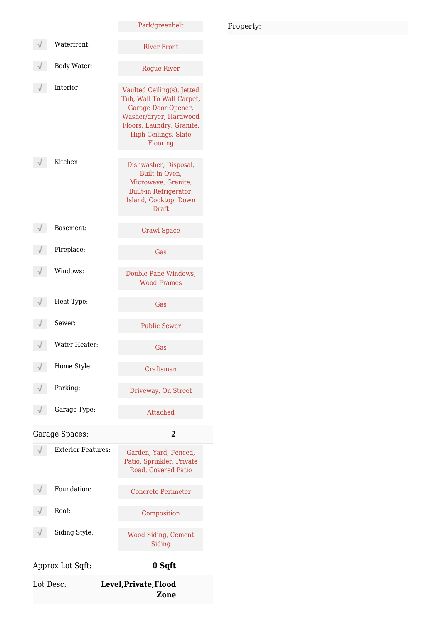## Park/greenbelt Waterfront: River Front Body Water: Rogue River Interior: Vaulted Ceiling(s), Jetted Tub, Wall To Wall Carpet, Garage Door Opener, Washer/dryer, Hardwood Floors, Laundry, Granite, High Ceilings, Slate Flooring Kitchen: Dishwasher, Disposal,  $\sqrt{}$ Built-in Oven, Microwave, Granite, Built-in Refrigerator, Island, Cooktop, Down Draft Basement: Crawl Space Fireplace: Gas Windows: Double Pane Windows, Wood Frames Heat Type: Gas Sewer: Public Sewer Water Heater: Gas Home Style: Craftsman Parking: Driveway, On Street Garage Type: Attached Garage Spaces: **2** Exterior Features: Garden, Yard, Fenced, Patio, Sprinkler, Private Road, Covered Patio Foundation: Concrete Perimeter Roof: Composition Siding Style: Wood Siding, Cement Siding Approx Lot Sqft: **0 Sqft**

| Lot Desc: | Level, Private, Flood<br><b>Zone</b> |
|-----------|--------------------------------------|
|           |                                      |

### Property: